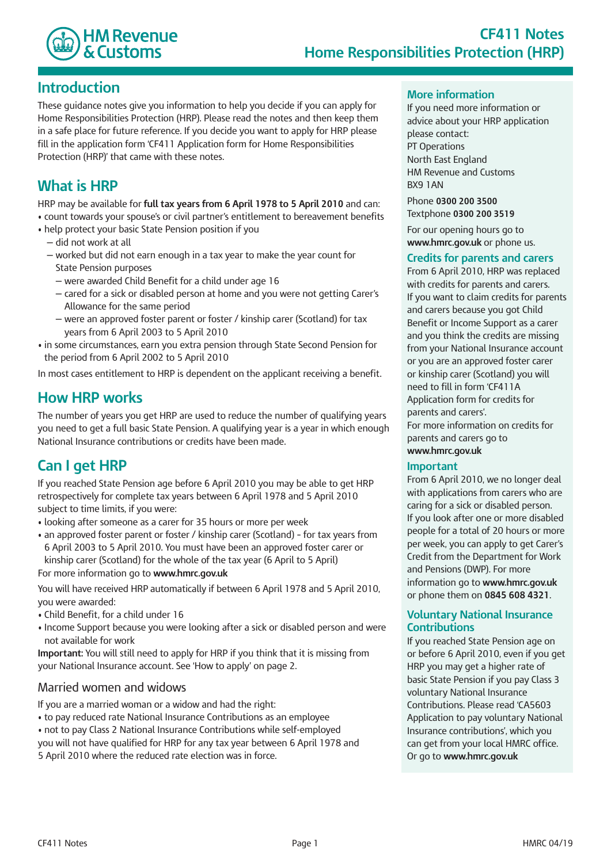

### **Introduction**

 These guidance notes give you information to help you decide if you can apply for Home Responsibilities Protection (HRP). Please read the notes and then keep them in a safe place for future reference. If you decide you want to apply for HRP please fill in the application form 'CF411 Application form for Home Responsibilities Protection (HRP)' that came with these notes.

### **What is HRP**

 HRP may be available for **full tax years from 6 April 1978 to 5 April 2010** and can:

• count towards your spouse's or civil partner's entitlement to bereavement benefits

- help protect your basic State Pension position if you
	- did not work at all
	- — worked but did not earn enough in a tax year to make the year count for State Pension purposes
		- were awarded Child Benefit for a child under age 16
		- cared for a sick or disabled person at home and you were not getting Carer's Allowance for the same period
		- — were an approved foster parent or foster / kinship carer (Scotland) for tax years from 6 April 2003 to 5 April 2010
- in some circumstances, earn you extra pension through State Second Pension for the period from 6 April 2002 to 5 April 2010

In most cases entitlement to HRP is dependent on the applicant receiving a benefit.

### **How HRP works**

 The number of years you get HRP are used to reduce the number of qualifying years you need to get a full basic State Pension. A qualifying year is a year in which enough National Insurance contributions or credits have been made.

## **Can I get HRP**

 If you reached State Pension age before 6 April 2010 you may be able to get HRP retrospectively for complete tax years between 6 April 1978 and 5 April 2010 subject to time limits, if you were:

- looking after someone as a carer for 35 hours or more per week
- an approved foster parent or foster / kinship carer (Scotland) for tax years from 6 April 2003 to 5 April 2010. You must have been an approved foster carer or kinship carer (Scotland) for the whole of the tax year (6 April to 5 April) For more information go to **www.hmrc.gov.uk**

 You will have received HRP automatically if between 6 April 1978 and 5 April 2010, you were awarded:

- Child Benefit, for a child under 16
- Income Support because you were looking after a sick or disabled person and were not available for work

 **Important:** You will still need to apply for HRP if you think that it is missing from your National Insurance account. See 'How to apply' on page 2.

### Married women and widows

If you are a married woman or a widow and had the right:

- to pay reduced rate National Insurance Contributions as an employee
- not to pay Class 2 National Insurance Contributions while self-employed
- you will not have qualified for HRP for any tax year between 6 April 1978 and 5 April 2010 where the reduced rate election was in force.

#### **More information**

 If you need more information or advice about your HRP application North East England HM Revenue and Customs please contact: PT Operations BX9 1AN

 Phone **0300 200 3500**  Textphone **0300 200 3519**

 For our opening hours go to **www.hmrc.gov.uk** or phone us.

#### **Credits for parents and carers**

 From 6 April 2010, HRP was replaced with credits for parents and carers. If you want to claim credits for parents and carers because you got Child Benefit or Income Support as a carer and you think the credits are missing from your National Insurance account or you are an approved foster carer or kinship carer (Scotland) you will need to fill in form 'CF411A Application form for credits for parents and carers'. For more information on credits for parents and carers go to **www.hmrc.gov.uk**

#### **Important**

 From 6 April 2010, we no longer deal with applications from carers who are caring for a sick or disabled person. If you look after one or more disabled people for a total of 20 hours or more per week, you can apply to get Carer's Credit from the Department for Work and Pensions (DWP). For more information go to **www.hmrc.gov.uk**  or phone them on **0845 608 4321**.

#### **Voluntary National Insurance Contributions**

 If you reached State Pension age on or before 6 April 2010, even if you get HRP you may get a higher rate of basic State Pension if you pay Class 3 voluntary National Insurance Contributions. Please read 'CA5603 Application to pay voluntary National Insurance contributions', which you can get from your local HMRC office. Or go to **www.hmrc.gov.uk**